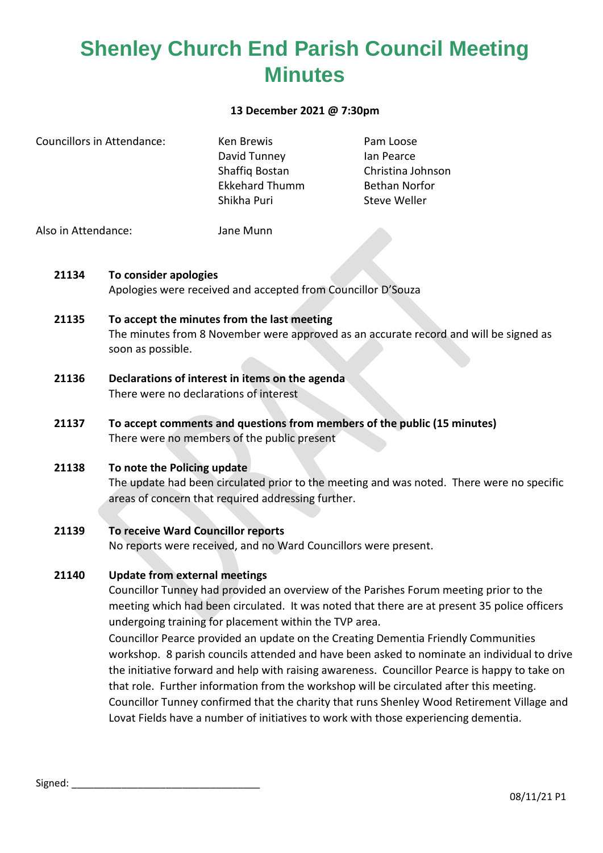#### **13 December 2021 @ 7:30pm**

| Councillors in Attendance: | Ken Brewis            | Pam Loose            |
|----------------------------|-----------------------|----------------------|
|                            | David Tunney          | lan Pearce           |
|                            | Shaffiq Bostan        | Christina Johnson    |
|                            | <b>Ekkehard Thumm</b> | <b>Bethan Norfor</b> |
|                            | Shikha Puri           | Steve Weller         |
|                            |                       |                      |

Also in Attendance: Jane Munn

- **21134 To consider apologies** Apologies were received and accepted from Councillor D'Souza
- **21135 To accept the minutes from the last meeting** The minutes from 8 November were approved as an accurate record and will be signed as soon as possible.
- **21136 Declarations of interest in items on the agenda** There were no declarations of interest
- **21137 To accept comments and questions from members of the public (15 minutes)** There were no members of the public present
- **21138 To note the Policing update** The update had been circulated prior to the meeting and was noted. There were no specific areas of concern that required addressing further.

## **21139 To receive Ward Councillor reports**

No reports were received, and no Ward Councillors were present.

#### **21140 Update from external meetings**

Councillor Tunney had provided an overview of the Parishes Forum meeting prior to the meeting which had been circulated. It was noted that there are at present 35 police officers undergoing training for placement within the TVP area.

Councillor Pearce provided an update on the Creating Dementia Friendly Communities workshop. 8 parish councils attended and have been asked to nominate an individual to drive the initiative forward and help with raising awareness. Councillor Pearce is happy to take on that role. Further information from the workshop will be circulated after this meeting. Councillor Tunney confirmed that the charity that runs Shenley Wood Retirement Village and Lovat Fields have a number of initiatives to work with those experiencing dementia.

Signed: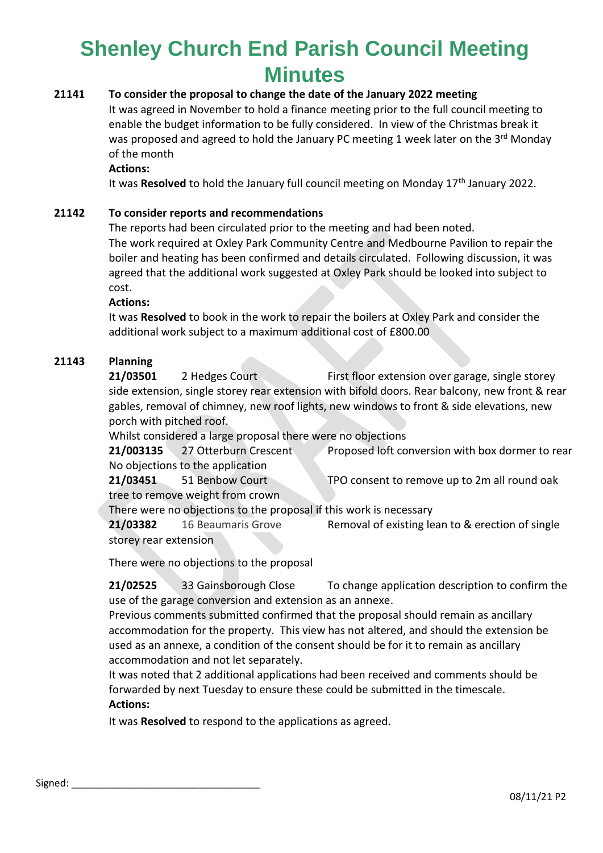## **21141 To consider the proposal to change the date of the January 2022 meeting**

It was agreed in November to hold a finance meeting prior to the full council meeting to enable the budget information to be fully considered. In view of the Christmas break it was proposed and agreed to hold the January PC meeting 1 week later on the 3<sup>rd</sup> Monday of the month

#### **Actions:**

It was Resolved to hold the January full council meeting on Monday 17<sup>th</sup> January 2022.

### **21142 To consider reports and recommendations**

The reports had been circulated prior to the meeting and had been noted. The work required at Oxley Park Community Centre and Medbourne Pavilion to repair the boiler and heating has been confirmed and details circulated. Following discussion, it was agreed that the additional work suggested at Oxley Park should be looked into subject to cost.

#### **Actions:**

It was **Resolved** to book in the work to repair the boilers at Oxley Park and consider the additional work subject to a maximum additional cost of £800.00

### **21143 Planning**

**21/03501** 2 Hedges Court First floor extension over garage, single storey side extension, single storey rear extension with bifold doors. Rear balcony, new front & rear gables, removal of chimney, new roof lights, new windows to front & side elevations, new porch with pitched roof.

Whilst considered a large proposal there were no objections

**21/003135** 27 Otterburn Crescent Proposed loft conversion with box dormer to rear

No objections to the application **21/03451** 51 Benbow Court TPO consent to remove up to 2m all round oak tree to remove weight from crown

There were no objections to the proposal if this work is necessary

**21/03382** 16 Beaumaris Grove Removal of existing lean to & erection of single storey rear extension

There were no objections to the proposal

**21/02525** 33 Gainsborough Close To change application description to confirm the use of the garage conversion and extension as an annexe.

Previous comments submitted confirmed that the proposal should remain as ancillary accommodation for the property. This view has not altered, and should the extension be used as an annexe, a condition of the consent should be for it to remain as ancillary accommodation and not let separately.

It was noted that 2 additional applications had been received and comments should be forwarded by next Tuesday to ensure these could be submitted in the timescale. **Actions:**

It was **Resolved** to respond to the applications as agreed.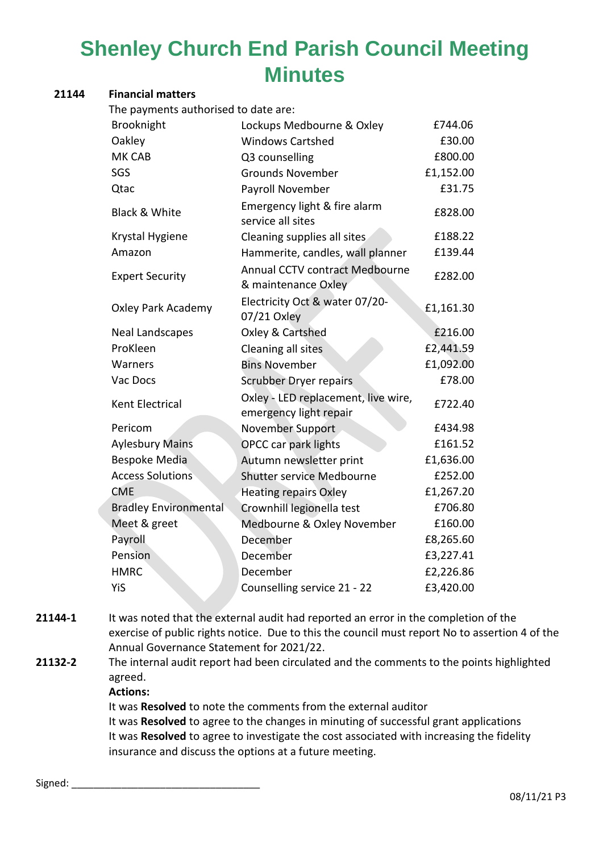### **21144 Financial matters**

The payments authorised to date are:

| Brooknight                   | Lockups Medbourne & Oxley                                     | £744.06   |
|------------------------------|---------------------------------------------------------------|-----------|
| Oakley                       | <b>Windows Cartshed</b>                                       | £30.00    |
| <b>MK CAB</b>                | Q3 counselling                                                | £800.00   |
| SGS                          | <b>Grounds November</b>                                       | £1,152.00 |
| Qtac                         | Payroll November                                              | £31.75    |
| <b>Black &amp; White</b>     | Emergency light & fire alarm<br>service all sites             | £828.00   |
| Krystal Hygiene              | Cleaning supplies all sites                                   | £188.22   |
| Amazon                       | Hammerite, candles, wall planner                              | £139.44   |
| <b>Expert Security</b>       | Annual CCTV contract Medbourne<br>& maintenance Oxley         | £282.00   |
| <b>Oxley Park Academy</b>    | Electricity Oct & water 07/20-<br>07/21 Oxley                 | £1,161.30 |
| Neal Landscapes              | Oxley & Cartshed                                              | £216.00   |
| ProKleen                     | Cleaning all sites                                            | £2,441.59 |
| Warners                      | <b>Bins November</b>                                          | £1,092.00 |
| Vac Docs                     | <b>Scrubber Dryer repairs</b>                                 | £78.00    |
| Kent Electrical              | Oxley - LED replacement, live wire,<br>emergency light repair | £722.40   |
| Pericom                      | November Support                                              | £434.98   |
| <b>Aylesbury Mains</b>       | <b>OPCC car park lights</b>                                   | £161.52   |
| <b>Bespoke Media</b>         | Autumn newsletter print                                       | £1,636.00 |
| <b>Access Solutions</b>      | Shutter service Medbourne                                     | £252.00   |
| <b>CME</b>                   | <b>Heating repairs Oxley</b>                                  | £1,267.20 |
| <b>Bradley Environmental</b> | Crownhill legionella test                                     | £706.80   |
| Meet & greet                 | Medbourne & Oxley November                                    | £160.00   |
| Payroll                      | December                                                      | £8,265.60 |
| Pension                      | December                                                      | £3,227.41 |
| <b>HMRC</b>                  | December                                                      | £2,226.86 |
| YiS                          | Counselling service 21 - 22                                   | £3,420.00 |

**21144-1** It was noted that the external audit had reported an error in the completion of the exercise of public rights notice. Due to this the council must report No to assertion 4 of the Annual Governance Statement for 2021/22.

**21132-2** The internal audit report had been circulated and the comments to the points highlighted agreed.

**Actions:**

It was **Resolved** to note the comments from the external auditor It was **Resolved** to agree to the changes in minuting of successful grant applications It was **Resolved** to agree to investigate the cost associated with increasing the fidelity insurance and discuss the options at a future meeting.

Signed: